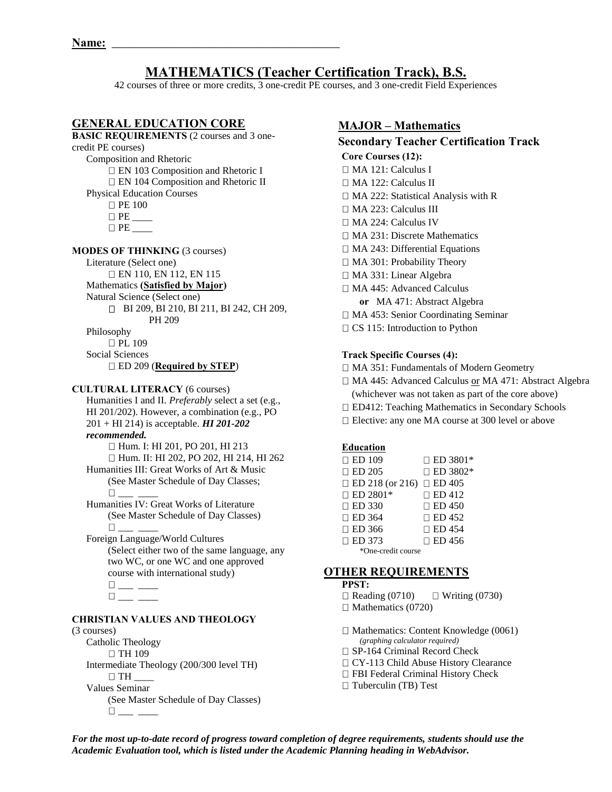# **MATHEMATICS (Teacher Certification Track), B.S.**

42 courses of three or more credits, 3 one-credit PE courses, and 3 one-credit Field Experiences

# **GENERAL EDUCATION CORE**

# **BASIC REQUIREMENTS** (2 courses and 3 onecredit PE courses) Composition and Rhetoric EN 103 Composition and Rhetoric I EN 104 Composition and Rhetoric II Physical Education Courses **D** PE 100  $\Box$   $\Box$   $\Box$

PE \_\_\_\_

**MODES OF THINKING** (3 courses)

Literature (Select one)

EN 110, EN 112, EN 115

Mathematics **(Satisfied by Major)** 

Natural Science (Select one)

BI 209, BI 210, BI 211, BI 242, CH 209, PH 209

Philosophy

 $\Box$  PL 109

Social Sciences

ED 209 (**Required by STEP**)

### **CULTURAL LITERACY** (6 courses)

Humanities I and II. *Preferably* select a set (e.g., HI 201/202). However, a combination (e.g., PO 201 + HI 214) is acceptable. *HI 201-202 recommended.*

Hum. I: HI 201, PO 201, HI 213

 Hum. II: HI 202, PO 202, HI 214, HI 262 Humanities III: Great Works of Art & Music

(See Master Schedule of Day Classes;  $\Box$ 

 Humanities IV: Great Works of Literature (See Master Schedule of Day Classes)  $\Box$ 

 Foreign Language/World Cultures (Select either two of the same language, any two WC, or one WC and one approved course with international study)  $\square_{\text{max}}$   $\_\_\_\_\$ 

```
\square_{\textit{max}} \xrightarrow{\hspace*{1.5cm}}
```
# **CHRISTIAN VALUES AND THEOLOGY**

#### (3 courses)

Catholic Theology □ TH 109 Intermediate Theology (200/300 level TH)  $\Box$  TH  $\Box$  Values Seminar (See Master Schedule of Day Classes)  $\square_{\lrcorner\ldots\lrcorner\ldots\lrcorner}$ 

# **MAJOR – Mathematics**

# **Secondary Teacher Certification Track**

- **Core Courses (12):**
- MA 121: Calculus I
- MA 122: Calculus II
- □ MA 222: Statistical Analysis with R
- MA 223: Calculus III
- MA 224: Calculus IV
- □ MA 231: Discrete Mathematics
- □ MA 243: Differential Equations
- □ MA 301: Probability Theory
- MA 331: Linear Algebra
- MA 445: Advanced Calculus  **or** MA 471: Abstract Algebra
- □ MA 453: Senior Coordinating Seminar
- $\Box$  CS 115: Introduction to Python

### **Track Specific Courses (4):**

- MA 351: Fundamentals of Modern Geometry
- □ MA 445: Advanced Calculus or MA 471: Abstract Algebra
- (whichever was not taken as part of the core above)
- □ ED412: Teaching Mathematics in Secondary Schools
- □ Elective: any one MA course at 300 level or above

### **Education**

| $\Box$ ED 109                        | $\Box$ ED 3801* |
|--------------------------------------|-----------------|
| $\Box$ ED 205                        | $\Box$ ED 3802* |
| $\Box$ ED 218 (or 216) $\Box$ ED 405 |                 |
| $\Box$ ED 2801*                      | $\Box$ ED 412   |
| $\Box$ ED 330                        | $\Box$ ED 450   |
| $\Box$ ED 364                        | $\Box$ ED 452   |
| $\Box$ ED 366                        | $\Box$ ED 454   |
| $\Box$ ED 373                        | $\Box$ ED 456   |
| *One-credit course                   |                 |

# **OTHER REQUIREMENTS**

**PPST:** 

 $\Box$  Reading (0710)  $\Box$  Writing (0730)  $\Box$  Mathematics (0720)

 $\Box$  Mathematics: Content Knowledge (0061) *(graphing calculator required)* 

- □ SP-164 Criminal Record Check
- □ CY-113 Child Abuse History Clearance
- FBI Federal Criminal History Check
- $\Box$  Tuberculin (TB) Test

*For the most up-to-date record of progress toward completion of degree requirements, students should use the Academic Evaluation tool, which is listed under the Academic Planning heading in WebAdvisor.*